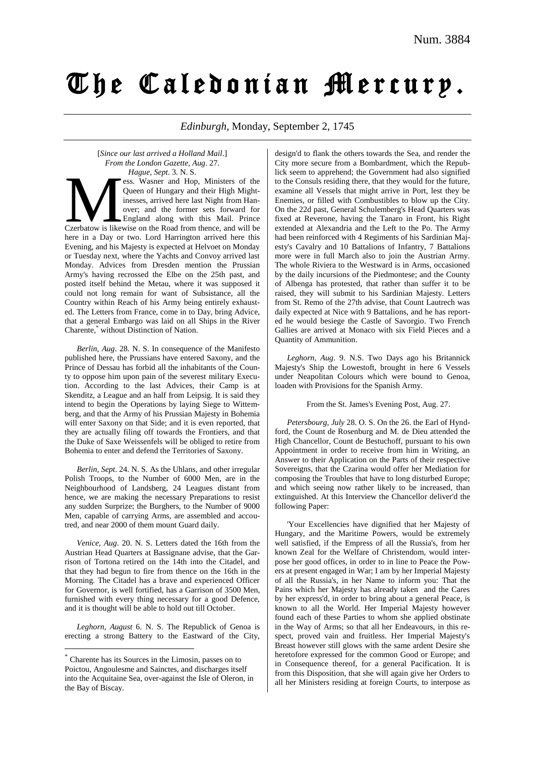# The Caledonian Mercury.

*Edinburgh*, Monday, September 2, 1745

[*Since our last arrived a Holland Mail*.] *From the London Gazette, Aug*. 27.

*Hague, Sept*. 3. N. S. ess. Wasner and Hop, Ministers of the Queen of Hungary and their High Mightinesses, arrived here last Night from Hanover; and the former sets forward for England along with this Mail. Prince Hague, Sept. 3. N. S.<br>
Sess. Wasner and Hop, Ministers of the<br>
Queen of Hungary and their High Might-<br>
inesses, arrived here last Night from Han-<br>
over; and the former sets forward for<br>
Czerbatow is likewise on the Road fr here in a Day or two. Lord Harrington arrived here this Evening, and his Majesty is expected at Helvoet on Monday or Tuesday next, where the Yachts and Convoy arrived last Monday. Advices from Dresden mention the Prussian Army's having recrossed the Elbe on the 25th past, and posted itself behind the Metau, where it was supposed it could not long remain for want of Subsistance, all the Country within Reach of his Army being entirely exhausted. The Letters from France, come in to Day, bring Advice, that a general Embargo was laid on all Ships in the River Charente,\* without Distinction of Nation.

*Berlin, Aug*. 28. N. S. In consequence of the Manifesto published here, the Prussians have entered Saxony, and the Prince of Dessau has forbid all the inhabitants of the County to oppose him upon pain of the severest military Execution. According to the last Advices, their Camp is at Skenditz, a League and an half from Leipsig. It is said they intend to begin the Operations by laying Siege to Wittemberg, and that the Army of his Prussian Majesty in Bohemia will enter Saxony on that Side; and it is even reported, that they are actually filing off towards the Frontiers, and that the Duke of Saxe Weissenfels will be obliged to retire from Bohemia to enter and defend the Territories of Saxony.

*Berlin, Sept*. 24. N. S. As the Uhlans, and other irregular Polish Troops, to the Number of 6000 Men, are in the Neighbourhood of Landsberg, 24 Leagues distant from hence, we are making the necessary Preparations to resist any sudden Surprize; the Burghers, to the Number of 9000 Men, capable of carrying Arms, are assembled and accoutred, and near 2000 of them mount Guard daily.

*Venice, Aug*. 20. N. S. Letters dated the 16th from the Austrian Head Quarters at Bassignane advise, that the Garrison of Tortona retired on the 14th into the Citadel, and that they had begun to fire from thence on the 16th in the Morning. The Citadel has a brave and experienced Officer for Governor, is well fortified, has a Garrison of 3500 Men, furnished with every thing necessary for a good Defence, and it is thought will be able to hold out till October.

*Leghorn, August* 6. N. S. The Republick of Genoa is erecting a strong Battery to the Eastward of the City,

<u>.</u>

design'd to flank the others towards the Sea, and render the City more secure from a Bombardment, which the Republick seem to apprehend; the Government had also signified to the Consuls residing there, that they would for the future, examine all Vessels that might arrive in Port, lest they be Enemies, or filled with Combustibles to blow up the City. On the 22d past, General Schulemberg's Head Quarters was fixed at Reverone, having the Tanaro in Front, his Right extended at Alexandria and the Left to the Po. The Army had been reinforced with 4 Regiments of his Sardinian Majesty's Cavalry and 10 Battalions of Infantry, 7 Battalions more were in full March also to join the Austrian Army. The whole Riviera to the Westward is in Arms, occasioned by the daily incursions of the Piedmontese; and the County of Albenga has protested, that rather than suffer it to be raised, they will submit to his Sardinian Majesty. Letters from St. Remo of the 27th advise, that Count Lautrech was daily expected at Nice with 9 Battalions, and he has reported he would besiege the Castle of Savorgio. Two French Gallies are arrived at Monaco with six Field Pieces and a Quantity of Ammunition.

*Leghorn, Aug*. 9. N.S. Two Days ago his Britannick Majesty's Ship the Lowestoft, brought in here 6 Vessels under Neapolitan Colours which were bound to Genoa, loaden with Provisions for the Spanish Army.

From the St. James's Evening Post, Aug. 27.

*Petersbourg, July* 28. O. S. On the 26. the Earl of Hyndford, the Count de Rosenburg and M. de Dieu attended the High Chancellor, Count de Bestuchoff, pursuant to his own Appointment in order to receive from him in Writing, an Answer to their Application on the Parts of their respective Sovereigns, that the Czarina would offer her Mediation for composing the Troubles that have to long disturbed Europe; and which seeing now rather likely to be increased, than extinguished. At this Interview the Chancellor deliver'd the following Paper:

'Your Excellencies have dignified that her Majesty of Hungary, and the Maritime Powers, would be extremely well satisfied, if the Empress of all the Russia's, from her known Zeal for the Welfare of Christendom, would interpose her good offices, in order to in line to Peace the Powers at present engaged in War; I am by her Imperial Majesty of all the Russia's, in her Name to inform you: That the Pains which her Majesty has already taken and the Cares by her express'd, in order to bring about a general Peace, is known to all the World. Her Imperial Majesty however found each of these Parties to whom she applied obstinate in the Way of Arms; so that all her Endeavours, in this respect, proved vain and fruitless. Her Imperial Majesty's Breast however still glows with the same ardent Desire she heretofore expressed for the common Good or Europe; and in Consequence thereof, for a general Pacification. It is from this Disposition, that she will again give her Orders to all her Ministers residing at foreign Courts, to interpose as

<sup>\*</sup> Charente has its Sources in the Limosin, passes on to Poictou, Angoulesme and Sainctes, and discharges itself into the Acquitaine Sea, over-against the Isle of Oleron, in the Bay of Biscay.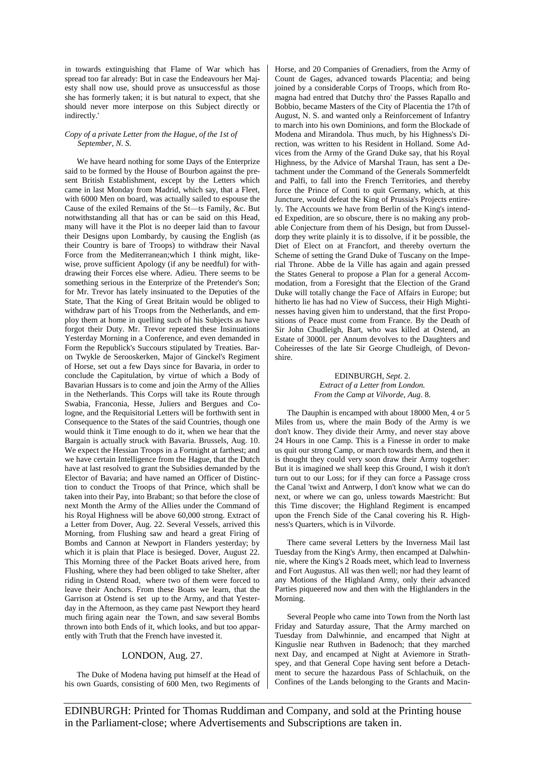in towards extinguishing that Flame of War which has spread too far already: But in case the Endeavours her Majesty shall now use, should prove as unsuccessful as those she has formerly taken; it is but natural to expect, that she should never more interpose on this Subject directly or indirectly.'

### *Copy of a private Letter from the Hague, of the 1st of September, N. S.*

We have heard nothing for some Days of the Enterprize said to be formed by the House of Bourbon against the present British Establishment, except by the Letters which came in last Monday from Madrid, which say, that a Fleet, with 6000 Men on board, was actually sailed to espouse the Cause of the exiled Remains of the St—ts Family, &c. But notwithstanding all that has or can be said on this Head, many will have it the Plot is no deeper laid than to favour their Designs upon Lombardy, by causing the English (as their Country is bare of Troops) to withdraw their Naval Force from the Mediterranean;which I think might, likewise, prove sufficient Apology (if any be needful) for withdrawing their Forces else where. Adieu. There seems to be something serious in the Enterprize of the Pretender's Son: for Mr. Trevor has lately insinuated to the Deputies of the State, That the King of Great Britain would be obliged to withdraw part of his Troops from the Netherlands, and employ them at home in quelling such of his Subjects as have forgot their Duty. Mr. Trevor repeated these Insinuations Yesterday Morning in a Conference, and even demanded in Form the Republick's Succours stipulated by Treaties. Baron Twykle de Serooskerken, Major of Ginckel's Regiment of Horse, set out a few Days since for Bavaria, in order to conclude the Capitulation, by virtue of which a Body of Bavarian Hussars is to come and join the Army of the Allies in the Netherlands. This Corps will take its Route through Swabia, Franconia, Hesse, Juliers and Bergues and Cologne, and the Requisitorial Letters will be forthwith sent in Consequence to the States of the said Countries, though one would think it Time enough to do it, when we hear that the Bargain is actually struck with Bavaria. Brussels, Aug. 10. We expect the Hessian Troops in a Fortnight at farthest; and we have certain Intelligence from the Hague, that the Dutch have at last resolved to grant the Subsidies demanded by the Elector of Bavaria; and have named an Officer of Distinction to conduct the Troops of that Prince, which shall be taken into their Pay, into Brabant; so that before the close of next Month the Army of the Allies under the Command of his Royal Highness will be above 60,000 strong. Extract of a Letter from Dover, Aug. 22. Several Vessels, arrived this Morning, from Flushing saw and heard a great Firing of Bombs and Cannon at Newport in Flanders yesterday; by which it is plain that Place is besieged. Dover, August 22. This Morning three of the Packet Boats arived here, from Flushing, where they had been obliged to take Shelter, after riding in Ostend Road, where two of them were forced to leave their Anchors. From these Boats we learn, that the Garrison at Ostend is set up to the Army, and that Yesterday in the Afternoon, as they came past Newport they heard much firing again near the Town, and saw several Bombs thrown into both Ends of it, which looks, and but too apparently with Truth that the French have invested it.

## LONDON, Aug. 27.

The Duke of Modena having put himself at the Head of his own Guards, consisting of 600 Men, two Regiments of Horse, and 20 Companies of Grenadiers, from the Army of Count de Gages, advanced towards Placentia; and being joined by a considerable Corps of Troops, which from Romagna had entred that Dutchy thro' the Passes Rapallo and Bobbio, became Masters of the City of Placentia the 17th of August, N. S. and wanted only a Reinforcement of Infantry to march into his own Dominions, and form the Blockade of Modena and Mirandola. Thus much, by his Highness's Direction, was written to his Resident in Holland. Some Advices from the Army of the Grand Duke say, that his Royal Highness, by the Advice of Marshal Traun, has sent a Detachment under the Command of the Generals Sommerfeldt and Palfi, to fall into the French Territories, and thereby force the Prince of Conti to quit Germany, which, at this Juncture, would defeat the King of Prussia's Projects entirely. The Accounts we have from Berlin of the King's intended Expedition, are so obscure, there is no making any probable Conjecture from them of his Design, but from Dusseldorp they write plainly it is to dissolve, if it be possible, the Diet of Elect on at Francfort, and thereby overturn the Scheme of setting the Grand Duke of Tuscany on the Imperial Throne. Abbe de la Ville has again and again pressed the States General to propose a Plan for a general Accommodation, from a Foresight that the Election of the Grand Duke will totally change the Face of Affairs in Europe; but hitherto lie has had no View of Success, their High Mightinesses having given him to understand, that the first Propositions of Peace must come from France. By the Death of Sir John Chudleigh, Bart, who was killed at Ostend, an Estate of 3000l. per Annum devolves to the Daughters and Coheiresses of the late Sir George Chudleigh, of Devonshire.

> EDINBURGH, *Sept*. 2. *Extract of a Letter from London. From the Camp at Vilvorde, Aug*. 8.

The Dauphin is encamped with about 18000 Men, 4 or 5 Miles from us, where the main Body of the Army is we don't know. They divide their Army, and never stay above 24 Hours in one Camp. This is a Finesse in order to make us quit our strong Camp, or march towards them, and then it is thought they could very soon draw their Army together: But it is imagined we shall keep this Ground, I wish it don't turn out to our Loss; for if they can force a Passage cross the Canal 'twixt and Antwerp, I don't know what we can do next, or where we can go, unless towards Maestricht: But this Time discover; the Highland Regiment is encamped upon the French Side of the Canal covering his R. Highness's Quarters, which is in Vilvorde.

There came several Letters by the Inverness Mail last Tuesday from the King's Army, then encamped at Dalwhinnie, where the King's 2 Roads meet, which lead to Inverness and Fort Augustus. All was then well; nor had they learnt of any Motions of the Highland Army, only their advanced Parties piqueered now and then with the Highlanders in the Morning.

Several People who came into Town from the North last Friday and Saturday assure, That the Army marched on Tuesday from Dalwhinnie, and encamped that Night at Kinguslie near Ruthven in Badenoch; that they marched next Day, and encamped at Night at Aviemore in Strathspey, and that General Cope having sent before a Detachment to secure the hazardous Pass of Schlachuik, on the Confines of the Lands belonging to the Grants and Macin-

EDINBURGH: Printed for Thomas Ruddiman and Company, and sold at the Printing house in the Parliament-close; where Advertisements and Subscriptions are taken in.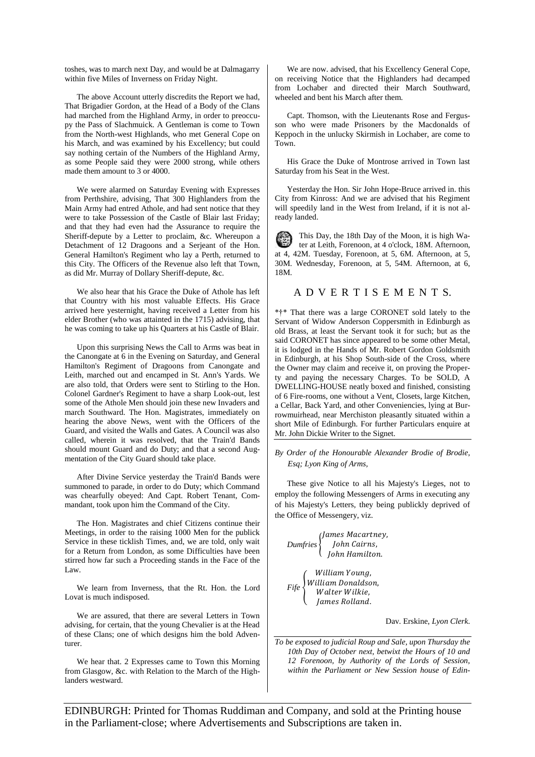toshes, was to march next Day, and would be at Dalmagarry within five Miles of Inverness on Friday Night.

The above Account utterly discredits the Report we had, That Brigadier Gordon, at the Head of a Body of the Clans had marched from the Highland Army, in order to preoccupy the Pass of Slachmuick. A Gentleman is come to Town from the North-west Highlands, who met General Cope on his March, and was examined by his Excellency; but could say nothing certain of the Numbers of the Highland Army, as some People said they were 2000 strong, while others made them amount to 3 or 4000.

We were alarmed on Saturday Evening with Expresses from Perthshire, advising, That 300 Highlanders from the Main Army had entred Athole, and had sent notice that they were to take Possession of the Castle of Blair last Friday; and that they had even had the Assurance to require the Sheriff-depute by a Letter to proclaim, &c. Whereupon a Detachment of 12 Dragoons and a Serjeant of the Hon. General Hamilton's Regiment who lay a Perth, returned to this City. The Officers of the Revenue also left that Town, as did Mr. Murray of Dollary Sheriff-depute, &c.

We also hear that his Grace the Duke of Athole has left that Country with his most valuable Effects. His Grace arrived here yesternight, having received a Letter from his elder Brother (who was attainted in the 1715) advising, that he was coming to take up his Quarters at his Castle of Blair.

Upon this surprising News the Call to Arms was beat in the Canongate at 6 in the Evening on Saturday, and General Hamilton's Regiment of Dragoons from Canongate and Leith, marched out and encamped in St. Ann's Yards. We are also told, that Orders were sent to Stirling to the Hon. Colonel Gardner's Regiment to have a sharp Look-out, lest some of the Athole Men should join these new Invaders and march Southward. The Hon. Magistrates, immediately on hearing the above News, went with the Officers of the Guard, and visited the Walls and Gates. A Council was also called, wherein it was resolved, that the Train'd Bands should mount Guard and do Duty; and that a second Augmentation of the City Guard should take place.

After Divine Service yesterday the Train'd Bands were summoned to parade, in order to do Duty; which Command was chearfully obeyed: And Capt. Robert Tenant, Commandant, took upon him the Command of the City.

The Hon. Magistrates and chief Citizens continue their Meetings, in order to the raising 1000 Men for the publick Service in these ticklish Times, and, we are told, only wait for a Return from London, as some Difficulties have been stirred how far such a Proceeding stands in the Face of the Law.

We learn from Inverness, that the Rt. Hon. the Lord Lovat is much indisposed.

We are assured, that there are several Letters in Town advising, for certain, that the young Chevalier is at the Head of these Clans; one of which designs him the bold Adventurer.

We hear that. 2 Expresses came to Town this Morning from Glasgow, &c. with Relation to the March of the Highlanders westward.

We are now. advised, that his Excellency General Cope, on receiving Notice that the Highlanders had decamped from Lochaber and directed their March Southward, wheeled and bent his March after them.

Capt. Thomson, with the Lieutenants Rose and Fergusson who were made Prisoners by the Macdonalds of Keppoch in the unlucky Skirmish in Lochaber, are come to Town.

His Grace the Duke of Montrose arrived in Town last Saturday from his Seat in the West.

Yesterday the Hon. Sir John Hope-Bruce arrived in. this City from Kinross: And we are advised that his Regiment will speedily land in the West from Ireland, if it is not already landed.

This Day, the 18th Day of the Moon, it is high Wa-醇 ter at Leith, Forenoon, at 4 o'clock, 18M. Afternoon, at 4, 42M. Tuesday, Forenoon, at 5, 6M. Afternoon, at 5, 30M. Wednesday, Forenoon, at 5, 54M. Afternoon, at 6, 18M.

## A D V E R T I S E M E N T S.

\*†\* That there was a large CORONET sold lately to the Servant of Widow Anderson Coppersmith in Edinburgh as old Brass, at least the Servant took it for such; but as the said CORONET has since appeared to be some other Metal, it is lodged in the Hands of Mr. Robert Gordon Goldsmith in Edinburgh, at his Shop South-side of the Cross, where the Owner may claim and receive it, on proving the Property and paying the necessary Charges. To be SOLD, A DWELLING-HOUSE neatly boxed and finished, consisting of 6 Fire-rooms, one without a Vent, Closets, large Kitchen, a Cellar, Back Yard, and other Conveniencies, lying at Burrowmuirhead, near Merchiston pleasantly situated within a short Mile of Edinburgh. For further Particulars enquire at Mr. John Dickie Writer to the Signet.

#### *By Order of the Honourable Alexander Brodie of Brodie, Esq; Lyon King of Arms,*

These give Notice to all his Majesty's Lieges, not to employ the following Messengers of Arms in executing any of his Majesty's Letters, they being publickly deprived of the Office of Messengery, viz.

$$
Dumfries \left\{\begin{array}{l} James\ Macartney, \\ John\ Cairns, \\ John Hamilton. \end{array}\right.
$$
  
 
$$
Fife \left\{\begin{array}{l} William\ Young, \\ William\ Donaldson, \\ Walter Wilkie, \\ James\ Rolland. \end{array}\right.
$$

Dav. Erskine, *Lyon Clerk*.

*To be exposed to judicial Roup and Sale, upon Thursday the 10th Day of October next, betwixt the Hours of 10 and 12 Forenoon, by Authority of the Lords of Session, within the Parliament or New Session house of Edin-*

EDINBURGH: Printed for Thomas Ruddiman and Company, and sold at the Printing house in the Parliament-close; where Advertisements and Subscriptions are taken in.